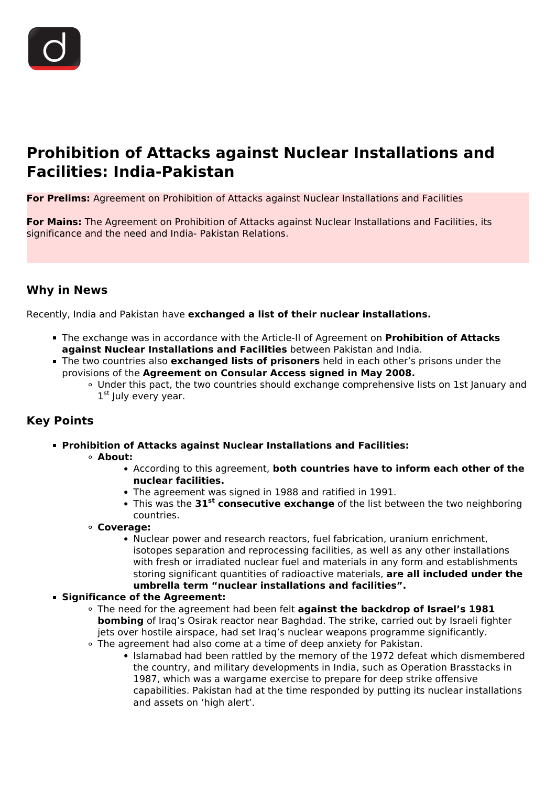

# **Prohibition of Attacks against Nuclear Installations and Facilities: India-Pakistan**

**For Prelims:** Agreement on Prohibition of Attacks against Nuclear Installations and Facilities

**For Mains:** The Agreement on Prohibition of Attacks against Nuclear Installations and Facilities, its significance and the need and India- Pakistan Relations.

# **Why in News**

Recently, India and Pakistan have **exchanged a list of their nuclear installations.**

- The exchange was in accordance with the Article-II of Agreement on **Prohibition of Attacks against Nuclear Installations and Facilities** between Pakistan and India.
- The two countries also **exchanged lists of prisoners** held in each other's prisons under the provisions of the **Agreement on Consular Access signed in May 2008.**
	- Under this pact, the two countries should exchange comprehensive lists on 1st January and 1st July every year.

# **Key Points**

- **Prohibition of Attacks against Nuclear Installations and Facilities:**
	- **About:**
		- According to this agreement, **both countries have to inform each other of the nuclear facilities.**
		- The agreement was signed in 1988 and ratified in 1991.
		- This was the **31st consecutive exchange** of the list between the two neighboring countries.
	- **Coverage:**
		- Nuclear power and research reactors, fuel fabrication, uranium enrichment, isotopes separation and reprocessing facilities, as well as any other installations with fresh or irradiated nuclear fuel and materials in any form and establishments storing significant quantities of radioactive materials, **are all included under the umbrella term "nuclear installations and facilities".**
- **Significance of the Agreement:**
	- The need for the agreement had been felt **against the backdrop of Israel's 1981 bombing** of Iraq's Osirak reactor near Baghdad. The strike, carried out by Israeli fighter jets over hostile airspace, had set Iraq's nuclear weapons programme significantly.
	- The agreement had also come at a time of deep anxiety for Pakistan.
		- Islamabad had been rattled by the memory of the 1972 defeat which dismembered the country, and military developments in India, such as Operation Brasstacks in 1987, which was a wargame exercise to prepare for deep strike offensive capabilities. Pakistan had at the time responded by putting its nuclear installations and assets on 'high alert'.